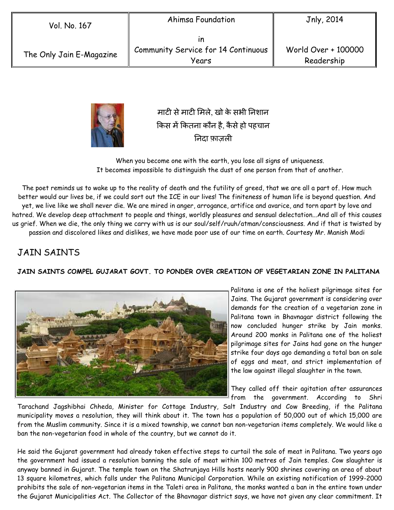| Vol. No. 167             | Ahimsa Foundation                                  | Jnly, 2014                        |
|--------------------------|----------------------------------------------------|-----------------------------------|
| The Only Jain E-Magazine | ın<br>Community Service for 14 Continuous<br>Years | World Over + 100000<br>Readership |



माटी से माटी मिले, खो के सभी निशान किस में कितना कौन है, कैसे हो पहचान नदा फ़ाज़ल

When you become one with the earth, you lose all signs of uniqueness. It becomes impossible to distinguish the dust of one person from that of another.

The poet reminds us to wake up to the reality of death and the futility of greed, that we are all a part of. How much better would our lives be, if we could sort out the ICE in our lives! The finiteness of human life is beyond question. And yet, we live like we shall never die. We are mired in anger, arrogance, artifice and avarice, and torn apart by love and hatred. We develop deep attachment to people and things, worldly pleasures and sensual delectation...And all of this causes us grief. When we die, the only thing we carry with us is our soul/self/ruuh/atman/consciousness. And if that is twisted by passion and discolored likes and dislikes, we have made poor use of our time on earth. Courtesy Mr. Manish Modi

# JAIN SAINTS

### **JAIN SAINTS COMPEL GUJARAT GOVT. TO PONDER OVER CREATION OF VEGETARIAN ZONE IN PALITANA**



Palitana is one of the holiest pilgrimage sites for Jains. The Gujarat government is considering over demands for the creation of a vegetarian zone in Palitana town in Bhavnagar district following the now concluded hunger strike by Jain monks. Around 200 monks in Palitana one of the holiest pilgrimage sites for Jains had gone on the hunger strike four days ago demanding a total ban on sale of eggs and meat, and strict implementation of the law against illegal slaughter in the town.

They called off their agitation after assurances from the government. According to Shri

Tarachand Jagshibhai Chheda, Minister for Cottage Industry, Salt Industry and Cow Breeding, if the Palitana municipality moves a resolution, they will think about it. The town has a population of 50,000 out of which 15,000 are from the Muslim community. Since it is a mixed township, we cannot ban non-vegetarian items completely. We would like a ban the non-vegetarian food in whole of the country, but we cannot do it.

He said the Gujarat government had already taken effective steps to curtail the sale of meat in Palitana. Two years ago the government had issued a resolution banning the sale of meat within 100 metres of Jain temples. Cow slaughter is anyway banned in Gujarat. The temple town on the Shatrunjaya Hills hosts nearly 900 shrines covering an area of about 13 square kilometres, which falls under the Palitana Municipal Corporation. While an existing notification of 1999-2000 prohibits the sale of non-vegetarian items in the Taleti area in Palitana, the monks wanted a ban in the entire town under the Gujarat Municipalities Act. The Collector of the Bhavnagar district says, we have not given any clear commitment. It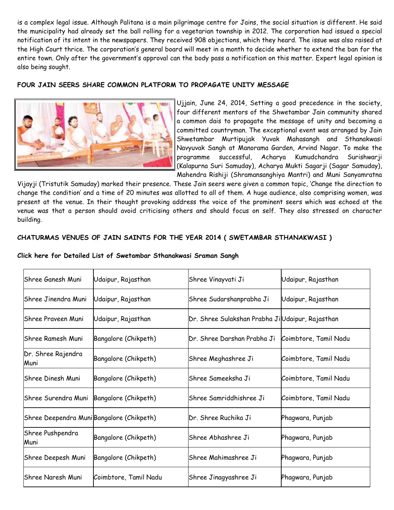is a complex legal issue. Although Palitana is a main pilgrimage centre for Jains, the social situation is different. He said the municipality had already set the ball rolling for a vegetarian township in 2012. The corporation had issued a special notification of its intent in the newspapers. They received 908 objections, which they heard. The issue was also raised at the High Court thrice. The corporation's general board will meet in a month to decide whether to extend the ban for the entire town. Only after the government's approval can the body pass a notification on this matter. Expert legal opinion is also being sought.

#### **FOUR JAIN SEERS SHARE COMMON PLATFORM TO PROPAGATE UNITY MESSAGE**



Ujjain, June 24, 2014, Setting a good precedence in the society, four different mentors of the Shwetambar Jain community shared a common dais to propagate the message of unity and becoming a committed countryman. The exceptional event was arranged by Jain Shwetambar Murtipujak Yuvak Mahasangh and Sthanakwasi Navyuvak Sangh at Manorama Garden, Arvind Nagar. To make the programme successful, Acharya Kumudchandra Surishwarji (Kalapurna Suri Samuday), Acharya Mukti Sagarji (Sagar Samuday), Mahendra Rishiji (Shramansanghiya Mantri) and Muni Sanyamratna

Vijayji (Tristutik Samuday) marked their presence. These Jain seers were given a common topic, 'Change the direction to change the condition' and a time of 20 minutes was allotted to all of them. A huge audience, also comprising women, was present at the venue. In their thought provoking address the voice of the prominent seers which was echoed at the venue was that a person should avoid criticising others and should focus on self. They also stressed on character building.

### **CHATURMAS VENUES OF JAIN SAINTS FOR THE YEAR 2014 ( SWETAMBAR STHANAKWASI )**

| Click here for Detailed List of Swetambar Sthanakwasi Sraman Sangh |  |
|--------------------------------------------------------------------|--|
|--------------------------------------------------------------------|--|

| lShree Ganesh Muni                                 | Udaipur, Rajasthan    | Shree Vinayvati Ji                               | Udaipur, Rajasthan    |
|----------------------------------------------------|-----------------------|--------------------------------------------------|-----------------------|
| Shree Jinendra Muni                                | Udaipur, Rajasthan    | Shree Sudarshanprabha Ji                         | Udaipur, Rajasthan    |
| Shree Praveen Muni                                 | Udaipur, Rajasthan    | Dr. Shree Sulakshan Prabha Ji Udaipur, Rajasthan |                       |
| lShree Ramesh Muni                                 | Bangalore (Chikpeth)  | Dr. Shree Darshan Prabha Ji                      | Coimbtore, Tamil Nadu |
| Dr. Shree Rajendra<br>Bangalore (Chikpeth)<br>Muni |                       | Shree Meghashree Ji                              | Coimbtore, Tamil Nadu |
| Shree Dinesh Muni<br>Bangalore (Chikpeth)          |                       | lShree Sameeksha Ji                              | Coimbtore, Tamil Nadu |
| Shree Surendra Muni                                | Bangalore (Chikpeth)  | lShree Samriddhishree Ji                         | Coimbtore, Tamil Nadu |
| Shree Deependra Muni Bangalore (Chikpeth)          |                       | Dr. Shree Ruchika Ji                             | Phagwara, Punjab      |
| Shree Pushpendra<br>Bangalore (Chikpeth)<br>Muni   |                       | Shree Abhashree Ji                               | Phagwara, Punjab      |
| Shree Deepesh Muni                                 | Bangalore (Chikpeth)  | Shree Mahimashree Ji                             | Phagwara, Punjab      |
| lShree Naresh Muni                                 | Coimbtore, Tamil Nadu | Shree Jinagyashree Ji                            | Phagwara, Punjab      |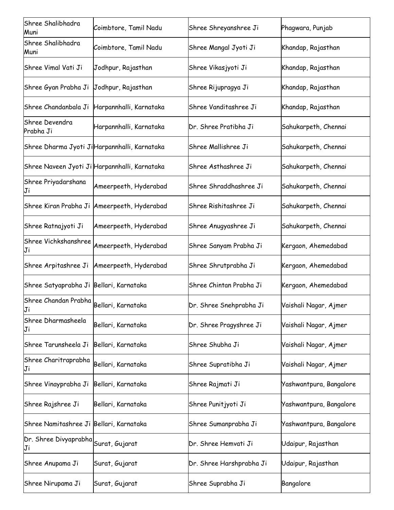| Shree Shalibhadra<br>Muni                  | Coimbtore, Tamil Nadu                         | Shree Shreyanshree Ji    | Phagwara, Punjab        |  |
|--------------------------------------------|-----------------------------------------------|--------------------------|-------------------------|--|
| Shree Shalibhadra<br>Muni                  | Coimbtore, Tamil Nadu                         | Shree Mangal Jyoti Ji    | Khandap, Rajasthan      |  |
| Shree Vimal Vati Ji                        | Jodhpur, Rajasthan                            | Shree Vikasjyoti Ji      | Khandap, Rajasthan      |  |
| Shree Gyan Prabha Ji                       | Jodhpur, Rajasthan                            | Shree Rijupragya Ji      | Khandap, Rajasthan      |  |
| Shree Chandanbala Ji                       | Harpannhalli, Karnataka                       | Shree Vanditashree Ji    | Khandap, Rajasthan      |  |
| Shree Devendra<br>Prabha Ji                | Harpannhalli, Karnataka                       | Dr. Shree Pratibha Ji    | Sahukarpeth, Chennai    |  |
|                                            | Shree Dharma Jyoti Ji Harpannhalli, Karnataka | Shree Mallishree Ji      | Sahukarpeth, Chennai    |  |
|                                            | Shree Naveen Jyoti Ji Harpannhalli, Karnataka | Shree Asthashree Ji      | Sahukarpeth, Chennai    |  |
| Shree Priyadarshana<br>Ji                  | Ameerpeeth, Hyderabad                         | Shree Shraddhashree Ji   | Sahukarpeth, Chennai    |  |
| Shree Kiran Prabha Ji                      | Ameerpeeth, Hyderabad                         | Shree Rishitashree Ji    | Sahukarpeth, Chennai    |  |
| Shree Ratnajyoti Ji                        | Ameerpeeth, Hyderabad                         | Shree Anugyashree Ji     | Sahukarpeth, Chennai    |  |
| Shree Vichkshanshree<br>Ji                 | Ameerpeeth, Hyderabad                         | Shree Sanyam Prabha Ji   | Kergaon, Ahemedabad     |  |
| Shree Arpitashree Ji                       | Ameerpeeth, Hyderabad                         | Shree Shrutprabha Ji     | Kergaon, Ahemedabad     |  |
| Shree Satyaprabha Ji Bellari, Karnataka    |                                               | Shree Chintan Prabha Ji  | Kergaon, Ahemedabad     |  |
| Shree Chandan Prabha<br>Ji                 | Bellari, Karnataka                            | Dr. Shree Snehprabha Ji  | Vaishali Nagar, Ajmer   |  |
| Shree Dharmasheela<br>Ji                   | Bellari, Karnataka                            | Dr. Shree Pragyshree Ji  | Vaishali Nagar, Ajmer   |  |
| Shree Tarunsheela Ji                       | Bellari, Karnataka                            | Shree Shubha Ji          | Vaishali Nagar, Ajmer   |  |
| Shree Charitraprabha<br>Ji                 | Bellari, Karnataka                            | Shree Supratibha Ji      | Vaishali Nagar, Ajmer   |  |
| Shree Vinayprabha Ji                       | Bellari, Karnataka                            | Shree Rajmati Ji         | Yashwantpura, Bangalore |  |
| Shree Rajshree Ji                          | Bellari, Karnataka                            | Shree Punitjyoti Ji      | Yashwantpura, Bangalore |  |
| Shree Namitashree Ji Bellari, Karnataka    |                                               | Shree Sumanprabha Ji     | Yashwantpura, Bangalore |  |
| Dr. Shree Divyaprabha Surat, Gujarat<br>Ji |                                               | Dr. Shree Hemvati Ji     | Udaipur, Rajasthan      |  |
| Shree Anupama Ji                           | Surat, Gujarat                                | Dr. Shree Harshprabha Ji | Udaipur, Rajasthan      |  |
| Shree Nirupama Ji                          | Surat, Gujarat                                | Shree Suprabha Ji        | Bangalore               |  |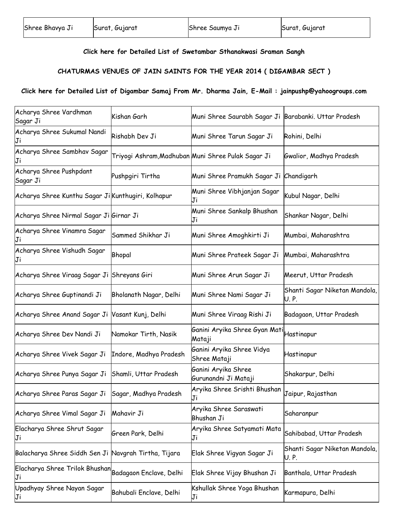#### **Click here for Detailed List of Swetambar Sthanakwasi Sraman Sangh**

#### **CHATURMAS VENUES OF JAIN SAINTS FOR THE YEAR 2014 ( DIGAMBAR SECT )**

### **Click here for Detailed List of Digambar Samaj From Mr. Dharma Jain, E-Mail : jainpushp@yahoogroups.com**

| Acharya Shree Vardhman<br>Sagar Ji                           | Kishan Garh             | Muni Shree Saurabh Sagar Ji                        | Barabanki. Uttar Pradesh              |
|--------------------------------------------------------------|-------------------------|----------------------------------------------------|---------------------------------------|
| Acharya Shree Sukumal Nandi                                  | Rishabh Dev Ji          | Muni Shree Tarun Sagar Ji                          | Rohini, Delhi                         |
| Acharya Shree Sambhav Sagar<br>Ji                            |                         | Triyogi Ashram,Madhuban Muni Shree Pulak Sagar Ji  | Gwalior, Madhya Pradesh               |
| Acharya Shree Pushpdant<br>Sagar Ji                          | Pushpgiri Tirtha        | Muni Shree Pramukh Sagar Ji                        | Chandigarh                            |
| Acharya Shree Kunthu Sagar Ji Kunthugiri, Kolhapur           |                         | Muni Shree Vibhjanjan Sagar<br>Ji                  | Kubul Nagar, Delhi                    |
| Acharya Shree Nirmal Sagar Ji Girnar Ji                      |                         | Muni Shree Sankalp Bhushan<br>Ji                   | Shankar Nagar, Delhi                  |
| Acharya Shree Vinamra Sagar                                  | Sammed Shikhar Ji       | Muni Shree Amoghkirti Ji                           | Mumbai, Maharashtra                   |
| Acharya Shree Vishudh Sagar<br>Ji                            | Bhopal                  | Muni Shree Prateek Sagar Ji                        | Mumbai, Maharashtra                   |
| Acharya Shree Viraag Sagar Ji Shreyans Giri                  |                         | Muni Shree Arun Sagar Ji                           | Meerut, Uttar Pradesh                 |
| Acharya Shree Guptinandi Ji                                  | Bholanath Nagar, Delhi  | Muni Shree Nami Sagar Ji                           | Shanti Sagar Niketan Mandola,<br>U.P. |
| Acharya Shree Anand Sagar Ji Vasant Kunj, Delhi              |                         | Muni Shree Viraag Rishi Ji                         | Badagaon, Uttar Pradesh               |
| Acharya Shree Dev Nandi Ji                                   | Namokar Tirth, Nasik    | Ganini Aryika Shree Gyan Mati Hastinapur<br>Mataji |                                       |
| Acharya Shree Vivek Sagar Ji                                 | Indore, Madhya Pradesh  | Ganini Aryika Shree Vidya<br>Shree Mataji          | Hastinapur                            |
| Acharya Shree Punya Sagar Ji Shamli, Uttar Pradesh           |                         | Ganini Aryika Shree<br>Gurunandni Ji Mataji        | Shakarpur, Delhi                      |
| Acharya Shree Paras Sagar Ji Sagar, Madhya Pradesh           |                         | Aryika Shree Srishti Bhushan<br>Ji                 | Jaipur, Rajasthan                     |
| Acharya Shree Vimal Sagar Ji                                 | Mahavir Ji              | Aryika Shree Saraswati<br>Bhushan Ji               | Saharanpur                            |
| Elacharya Shree Shrut Sagar<br>IJi                           | Green Park, Delhi       | Aryika Shree Satyamati Mata<br>Ji                  | Sahibabad, Uttar Pradesh              |
| Balacharya Shree Siddh Sen Ji Navgrah Tirtha, Tijara         |                         | Elak Shree Vigyan Sagar Ji                         | Shanti Sagar Niketan Mandola,<br>U.P. |
| Elacharya Shree Trilok Bhushan Badagaon Enclave, Delhi<br>Ji |                         | Elak Shree Vijay Bhushan Ji                        | Banthala, Uttar Pradesh               |
| Upadhyay Shree Nayan Sagar<br>Ji                             | Bahubali Enclave, Delhi | Kshullak Shree Yoga Bhushan<br>Ji                  | Karmapura, Delhi                      |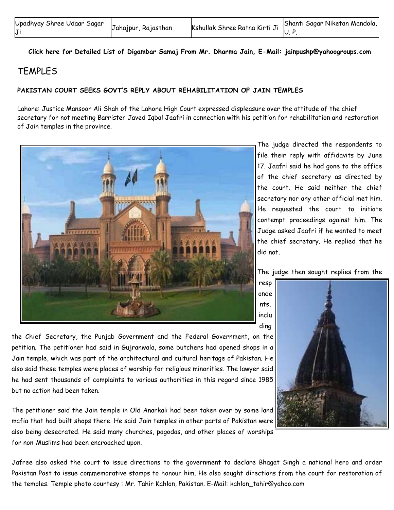| Upadhyay Shree Udaar Sagar | Jahajpur, Rajasthan | - المسرحة المسابقة المسرحة المسرحة المسرحة المسرحة المسرحة المسرحة المسرحة المسرحة المسرحة المسرحة المسرحة الم<br>المسرح المسرح المسرح المسرح المسرح المسرح المسرحين المسرحين المسرحين المسرحين المسرحين المسرحين المسرحين المسر |  |
|----------------------------|---------------------|----------------------------------------------------------------------------------------------------------------------------------------------------------------------------------------------------------------------------------|--|
| IJi                        |                     |                                                                                                                                                                                                                                  |  |

**Click here for Detailed List of Digambar Samaj From Mr. Dharma Jain, E-Mail: jainpushp@yahoogroups.com**

### TEMPLES

#### **PAKISTAN COURT SEEKS GOVT'S REPLY ABOUT REHABILITATION OF JAIN TEMPLES**

Lahore: Justice Mansoor Ali Shah of the Lahore High Court expressed displeasure over the attitude of the chief secretary for not meeting Barrister Javed Iqbal Jaafri in connection with his petition for rehabilitation and restoration of Jain temples in the province.



The judge directed the respondents to file their reply with affidavits by June 17. Jaafri said he had gone to the office of the chief secretary as directed by the court. He said neither the chief secretary nor any other official met him. He requested the court to initiate contempt proceedings against him. The Judge asked Jaafri if he wanted to meet the chief secretary. He replied that he did not.

The judge then sought replies from the

the Chief Secretary, the Punjab Government and the Federal Government, on the petition. The petitioner had said in Gujranwala, some butchers had opened shops in a Jain temple, which was part of the architectural and cultural heritage of Pakistan. He also said these temples were places of worship for religious minorities. The lawyer said he had sent thousands of complaints to various authorities in this regard since 1985 but no action had been taken.

The petitioner said the Jain temple in Old Anarkali had been taken over by some land mafia that had built shops there. He said Jain temples in other parts of Pakistan were also being desecrated. He said many churches, pagodas, and other places of worships for non-Muslims had been encroached upon.

resp onde nts, inclu ding

Jafree also asked the court to issue directions to the government to declare Bhagat Singh a national hero and order Pakistan Post to issue commemorative stamps to honour him. He also sought directions from the court for restoration of the temples. Temple photo courtesy : Mr. Tahir Kahlon, Pakistan. E-Mail: kahlon\_tahir@yahoo.com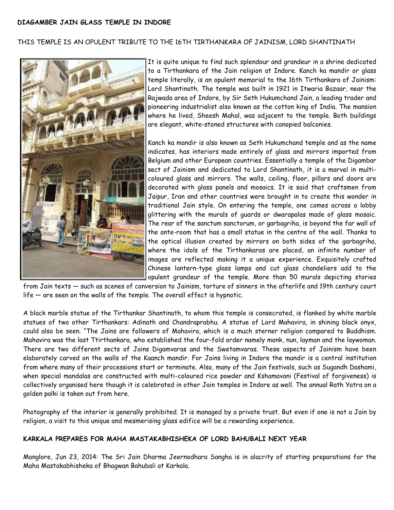#### THIS TEMPLE IS AN OPULENT TRIBUTE TO THE 16TH TIRTHANKARA OF JAINISM, LORD SHANTINATH



It is quite unique to find such splendour and grandeur in a shrine dedicated to a Tirthankara of the Jain religion at Indore. Kanch ka mandir or glass temple literally, is an opulent memorial to the 16th Tirthankara of Jainism: Lord Shantinath. The temple was built in 1921 in Itwaria Bazaar, near the Rajwada area of Indore, by Sir Seth Hukumchand Jain, a leading trader and pioneering industrialist also known as the cotton king of India. The mansion where he lived, Sheesh Mahal, was adjacent to the temple. Both buildings are elegant, white-stoned structures with canopied balconies.

Kanch ka mandir is also known as Seth Hukumchand temple and as the name indicates, has interiors made entirely of glass and mirrors imported from Belgium and other European countries. Essentially a temple of the Digambar sect of Jainism and dedicated to Lord Shantinath, it is a marvel in multicoloured glass and mirrors. The walls, ceiling, floor, pillars and doors are decorated with glass panels and mosaics. It is said that craftsmen from Jaipur, Iran and other countries were brought in to create this wonder in traditional Jain style. On entering the temple, one comes across a lobby glittering with the murals of guards or dwarapalas made of glass mosaic. The rear of the sanctum sanctorum, or garbagriha, is beyond the far wall of the ante-room that has a small statue in the centre of the wall. Thanks to the optical illusion created by mirrors on both sides of the garbagriha, where the idols of the Tirthankaras are placed, an infinite number of images are reflected making it a unique experience. Exquisitely crafted Chinese lantern-type glass lamps and cut glass chandeliers add to the opulent grandeur of the temple. More than 50 murals depicting stories

from Jain texts — such as scenes of conversion to Jainism, torture of sinners in the afterlife and 19th century court life — are seen on the walls of the temple. The overall effect is hypnotic.

A black marble statue of the Tirthankar Shantinath, to whom this temple is consecrated, is flanked by white marble statues of two other Tirthankars: Adinath and Chandraprabhu. A statue of Lord Mahavira, in shining black onyx, could also be seen. "The Jains are followers of Mahavira, which is a much sterner religion compared to Buddhism. Mahavira was the last Ttirthankara, who established the four-fold order namely monk, nun, layman and the laywoman. There are two different sects of Jains Digamvaras and the Swetamvaras. These aspects of Jainism have been elaborately carved on the walls of the Kaanch mandir. For Jains living in Indore the mandir is a central institution from where many of their processions start or terminate. Also, many of the Jain festivals, such as Sugandh Dashami, when special mandalas are constructed with multi-coloured rice powder and Kshamavani (Festival of forgiveness) is collectively organised here though it is celebrated in other Jain temples in Indore as well. The annual Rath Yatra on a golden palki is taken out from here.

Photography of the interior is generally prohibited. It is managed by a private trust. But even if one is not a Jain by religion, a visit to this unique and mesmerising glass edifice will be a rewarding experience.

#### **KARKALA PREPARES FOR MAHA MASTAKABHISHEKA OF LORD BAHUBALI NEXT YEAR**

Manglore, Jun 23, 2014: The Sri Jain Dharma Jeernodhara Sangha is in alacrity of starting preparations for the Maha Mastakabhisheka of Bhagwan Bahubali at Karkala.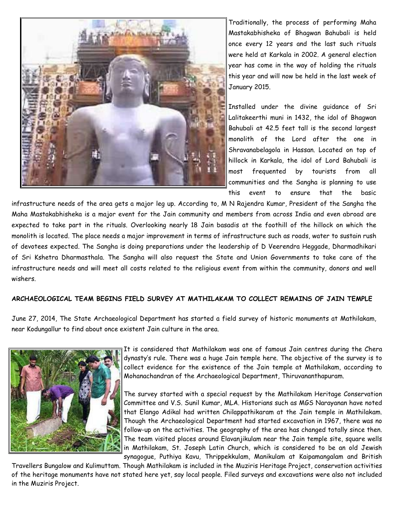

Traditionally, the process of performing Maha Mastakabhisheka of Bhagwan Bahubali is held once every 12 years and the last such rituals were held at Karkala in 2002. A general election year has come in the way of holding the rituals this year and will now be held in the last week of January 2015.

Installed under the divine guidance of Sri Lalitakeerthi muni in 1432, the idol of Bhagwan Bahubali at 42.5 feet tall is the second largest monolith of the Lord after the one in Shravanabelagola in Hassan. Located on top of hillock in Karkala, the idol of Lord Bahubali is most frequented by tourists from all communities and the Sangha is planning to use this event to ensure that the basic

infrastructure needs of the area gets a major leg up. According to, M N Rajendra Kumar, President of the Sangha the Maha Mastakabhisheka is a major event for the Jain community and members from across India and even abroad are expected to take part in the rituals. Overlooking nearly 18 Jain basadis at the foothill of the hillock on which the monolith is located. The place needs a major improvement in terms of infrastructure such as roads, water to sustain rush of devotees expected. The Sangha is doing preparations under the leadership of D Veerendra Heggade, Dharmadhikari of Sri Kshetra Dharmasthala. The Sangha will also request the State and Union Governments to take care of the infrastructure needs and will meet all costs related to the religious event from within the community, donors and well wishers.

#### **ARCHAEOLOGICAL TEAM BEGINS FIELD SURVEY AT MATHILAKAM TO COLLECT REMAINS OF JAIN TEMPLE**

June 27, 2014, The State Archaeological Department has started a field survey of historic monuments at Mathilakam, near Kodungallur to find about once existent Jain culture in the area.



It is considered that Mathilakam was one of famous Jain centres during the Chera dynasty's rule. There was a huge Jain temple here. The objective of the survey is to collect evidence for the existence of the Jain temple at Mathilakam, according to Mohanachandran of the Archaeological Department, Thiruvananthapuram.

The survey started with a special request by the Mathilakam Heritage Conservation Committee and V.S. Sunil Kumar, MLA. Historians such as MGS Narayanan have noted that Elango Adikal had written Chilappathikaram at the Jain temple in Mathilakam. Though the Archaeological Department had started excavation in 1967, there was no follow-up on the activities. The geography of the area has changed totally since then. The team visited places around Elavanjikulam near the Jain temple site, square wells in Mathilakam, St. Joseph Latin Church, which is considered to be an old Jewish synagogue, Puthiya Kavu, Thrippekkulam, Manikulam at Kaipamangalam and British

Travellers Bungalow and Kulimuttam. Though Mathilakam is included in the Muziris Heritage Project, conservation activities of the heritage monuments have not stated here yet, say local people. Filed surveys and excavations were also not included in the Muziris Project.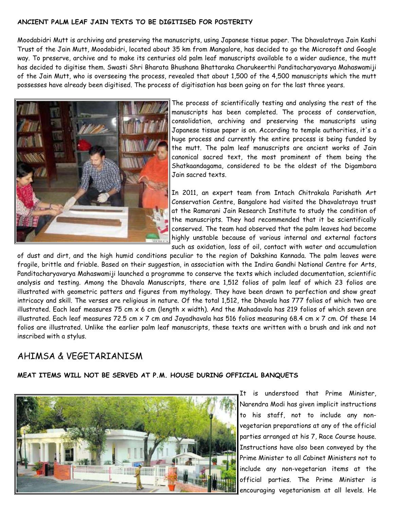#### **ANCIENT PALM LEAF JAIN TEXTS TO BE DIGITISED FOR POSTERITY**

Moodabidri Mutt is archiving and preserving the manuscripts, using Japanese tissue paper. The Dhavalatraya Jain Kashi Trust of the Jain Mutt, Moodabidri, located about 35 km from Mangalore, has decided to go the Microsoft and Google way. To preserve, archive and to make its centuries old palm leaf manuscripts available to a wider audience, the mutt has decided to digitise them. Swasti Shri Bharata Bhushana Bhattaraka Charukeerthi Panditacharyavarya Mahaswamiji of the Jain Mutt, who is overseeing the process, revealed that about 1,500 of the 4,500 manuscripts which the mutt possesses have already been digitised. The process of digitisation has been going on for the last three years.



The process of scientifically testing and analysing the rest of the manuscripts has been completed. The process of conservation, consolidation, archiving and preserving the manuscripts using Japanese tissue paper is on. According to temple authorities, it's a huge process and currently the entire process is being funded by the mutt. The palm leaf manuscripts are ancient works of Jain canonical sacred text, the most prominent of them being the Shatkaandagama, considered to be the oldest of the Digambara Jain sacred texts.

In 2011, an expert team from Intach Chitrakala Parishath Art Conservation Centre, Bangalore had visited the Dhavalatraya trust at the Ramarani Jain Research Institute to study the condition of the manuscripts. They had recommended that it be scientifically conserved. The team had observed that the palm leaves had become highly unstable because of various internal and external factors such as oxidation, loss of oil, contact with water and accumulation

of dust and dirt, and the high humid conditions peculiar to the region of Dakshina Kannada. The palm leaves were fragile, brittle and friable. Based on their suggestion, in association with the Indira Gandhi National Centre for Arts, Panditacharyavarya Mahaswamiji launched a programme to conserve the texts which included documentation, scientific analysis and testing. Among the Dhavala Manuscripts, there are 1,512 folios of palm leaf of which 23 folios are illustrated with geometric patters and figures from mythology. They have been drawn to perfection and show great intricacy and skill. The verses are religious in nature. Of the total 1,512, the Dhavala has 777 folios of which two are illustrated. Each leaf measures 75 cm  $x$  6 cm (length  $x$  width). And the Mahadavala has 219 folios of which seven are illustrated. Each leaf measures 72.5 cm x 7 cm and Jayadhavala has 516 folios measuring 68.4 cm x 7 cm. Of these 14 folios are illustrated. Unlike the earlier palm leaf manuscripts, these texts are written with a brush and ink and not inscribed with a stylus.

# AHIMSA & VEGETARIANISM

#### **MEAT ITEMS WILL NOT BE SERVED AT P.M. HOUSE DURING OFFICIAL BANQUETS**



It is understood that Prime Minister, Narendra Modi has given implicit instructions to his staff, not to include any nonvegetarian preparations at any of the official parties arranged at his 7, Race Course house. Instructions have also been conveyed by the Prime Minister to all Cabinet Ministers not to include any non-vegetarian items at the official parties. The Prime Minister is encouraging vegetarianism at all levels. He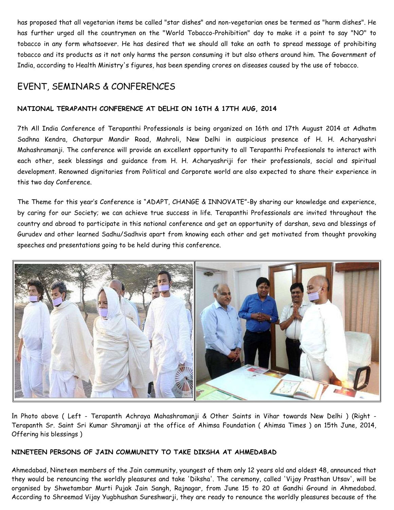has proposed that all vegetarian items be called "star dishes" and non-vegetarian ones be termed as "harm dishes". He has further urged all the countrymen on the "World Tobacco-Prohibition" day to make it a point to say "NO" to tobacco in any form whatsoever. He has desired that we should all take an oath to spread message of prohibiting tobacco and its products as it not only harms the person consuming it but also others around him. The Government of India, according to Health Ministry's figures, has been spending crores on diseases caused by the use of tobacco.

# EVENT, SEMINARS & CONFERENCES

# **NATIONAL TERAPANTH CONFERENCE AT DELHI ON 16TH & 17TH AUG, 2014**

7th All India Conference of Terapanthi Professionals is being organized on 16th and 17th August 2014 at Adhatm Sadhna Kendra, Chatarpur Mandir Road, Mahroli, New Delhi in auspicious presence of H. H. Acharyashri Mahashramanji. The conference will provide an excellent opportunity to all Terapanthi Profeesionals to interact with each other, seek blessings and guidance from H. H. Acharyashriji for their professionals, social and spiritual development. Renowned dignitaries from Political and Corporate world are also expected to share their experience in this two day Conference.

The Theme for this year's Conference is "ADAPT, CHANGE & INNOVATE"-By sharing our knowledge and experience, by caring for our Society; we can achieve true success in life. Terapanthi Professionals are invited throughout the country and abroad to participate in this national conference and get an opportunity of darshan, seva and blessings of Gurudev and other learned Sadhu/Sadhvis apart from knowing each other and get motivated from thought provoking speeches and presentations going to be held during this conference.



In Photo above ( Left - Terapanth Achraya Mahashramanji & Other Saints in Vihar towards New Delhi ) (Right - Terapanth Sr. Saint Sri Kumar Shramanji at the office of Ahimsa Foundation ( Ahimsa Times ) on 15th June, 2014, Offering his blessings )

### **NINETEEN PERSONS OF JAIN COMMUNITY TO TAKE DIKSHA AT AHMEDABAD**

Ahmedabad, Nineteen members of the Jain community, youngest of them only 12 years old and oldest 48, announced that they would be renouncing the worldly pleasures and take 'Diksha'. The ceremony, called 'Vijay Prasthan Utsav', will be organised by Shwetambar Murti Pujak Jain Sangh, Rajnagar, from June 15 to 20 at Gandhi Ground in Ahmedabad. According to Shreemad Vijay Yugbhushan Sureshwarji, they are ready to renounce the worldly pleasures because of the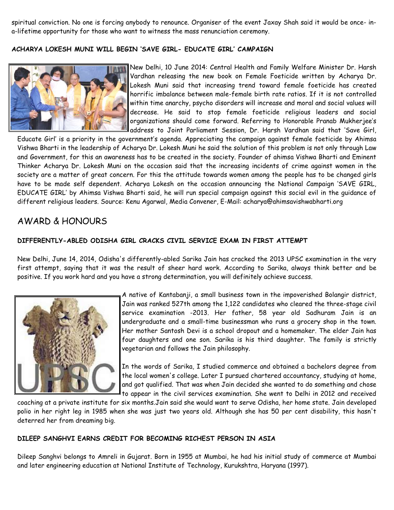spiritual conviction. No one is forcing anybody to renounce. Organiser of the event Jaxay Shah said it would be once- ina-lifetime opportunity for those who want to witness the mass renunciation ceremony.

#### **ACHARYA LOKESH MUNI WILL BEGIN 'SAVE GIRL- EDUCATE GIRL' CAMPAIGN**



New Delhi, 10 June 2014: Central Health and Family Welfare Minister Dr. Harsh Vardhan releasing the new book on Female Foeticide written by Acharya Dr. Lokesh Muni said that increasing trend toward female foeticide has created horrific imbalance between male-female birth rate ratios. If it is not controlled within time anarchy, psycho disorders will increase and moral and social values will decrease. He said to stop female foeticide religious leaders and social organizations should come forward. Referring to Honorable Pranab Mukherjee's address to Joint Parliament Session, Dr. Harsh Vardhan said that 'Save Girl,

Educate Girl' is a priority in the government's agenda. Appreciating the campaign against female foeticide by Ahimsa Vishwa Bharti in the leadership of Acharya Dr. Lokesh Muni he said the solution of this problem is not only through Law and Government, for this an awareness has to be created in the society. Founder of ahimsa Vishwa Bharti and Eminent Thinker Acharya Dr. Lokesh Muni on the occasion said that the increasing incidents of crime against women in the society are a matter of great concern. For this the attitude towards women among the people has to be changed girls have to be made self dependent. Acharya Lokesh on the occasion announcing the National Campaign 'SAVE GIRL, EDUCATE GIRL' by Ahimsa Vishwa Bharti said, he will run special campaign against this social evil in the guidance of different religious leaders. Source: Kenu Agarwal, Media Convener, E-Mail: acharya@ahimsavishwabharti.org

# AWARD & HONOURS

#### **DIFFERENTLY-ABLED ODISHA GIRL CRACKS CIVIL SERVICE EXAM IN FIRST ATTEMPT**

New Delhi, June 14, 2014, Odisha's differently-abled Sarika Jain has cracked the 2013 UPSC examination in the very first attempt, saying that it was the result of sheer hard work. According to Sarika, always think better and be positive. If you work hard and you have a strong determination, you will definitely achieve success.



A native of Kantabanji, a small business town in the impoverished Bolangir district, Jain was ranked 527th among the 1,122 candidates who cleared the three-stage civil service examination -2013. Her father, 58 year old Sadhuram Jain is an undergraduate and a small-time businessman who runs a grocery shop in the town. Her mother Santosh Devi is a school dropout and a homemaker. The elder Jain has four daughters and one son. Sarika is his third daughter. The family is strictly vegetarian and follows the Jain philosophy.

In the words of Sarika, I studied commerce and obtained a bachelors degree from the local women's college. Later I pursued chartered accountancy, studying at home, and got qualified. That was when Jain decided she wanted to do something and chose to appear in the civil services examination. She went to Delhi in 2012 and received

coaching at a private institute for six months.Jain said she would want to serve Odisha, her home state. Jain developed polio in her right leg in 1985 when she was just two years old. Although she has 50 per cent disability, this hasn't deterred her from dreaming big.

#### **DILEEP SANGHVI EARNS CREDIT FOR BECOMING RICHEST PERSON IN ASIA**

Dileep Sanghvi belongs to Amreli in Gujarat. Born in 1955 at Mumbai, he had his initial study of commerce at Mumbai and later engineering education at National Institute of Technology, Kurukshtra, Haryana (1997).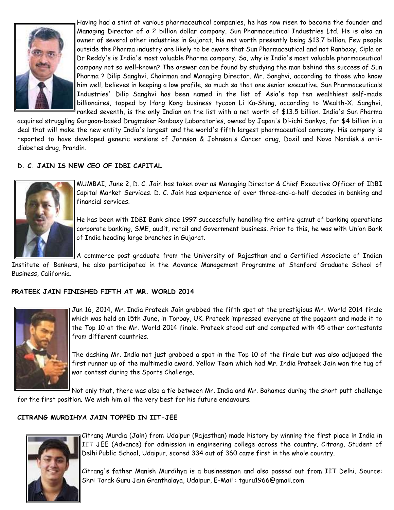

Having had a stint at various pharmaceutical companies, he has now risen to become the founder and Managing Director of a 2 billion dollar company, Sun Pharmaceutical Industries Ltd. He is also an owner of several other industries in Gujarat, his net worth presently being \$13.7 billion. Few people outside the Pharma industry are likely to be aware that Sun Pharmaceutical and not Ranbaxy, Cipla or Dr Reddy's is India's most valuable Pharma company. So, why is India's most valuable pharmaceutical company not so well-known? The answer can be found by studying the man behind the success of Sun Pharma ? Dilip Sanghvi, Chairman and Managing Director. Mr. Sanghvi, according to those who know him well, believes in keeping a low profile, so much so that one senior executive. Sun Pharmaceuticals Industries' Dilip Sanghvi has been named in the list of Asia's top ten wealthiest self-made billionaires, topped by Hong Kong business tycoon Li Ka-Shing, according to Wealth-X. Sanghvi, ranked seventh, is the only Indian on the list with a net worth of \$13.5 billion. India's Sun Pharma

acquired struggling Gurgaon-based Drugmaker Ranbaxy Laboratories, owned by Japan's Di-ichi Sankyo, for \$4 billion in a deal that will make the new entity India's largest and the world's fifth largest pharmaceutical company. His company is reported to have developed generic versions of Johnson & Johnson's Cancer drug, Doxil and Novo Nordisk's antidiabetes drug, Prandin.

### **D. C. JAIN IS NEW CEO OF IDBI CAPITAL**



MUMBAI, June 2, D. C. Jain has taken over as Managing Director & Chief Executive Officer of IDBI Capital Market Services. D. C. Jain has experience of over three-and-a-half decades in banking and financial services.

He has been with IDBI Bank since 1997 successfully handling the entire gamut of banking operations corporate banking, SME, audit, retail and Government business. Prior to this, he was with Union Bank of India heading large branches in Gujarat.

A commerce post-graduate from the University of Rajasthan and a Certified Associate of Indian

Institute of Bankers, he also participated in the Advance Management Programme at Stanford Graduate School of Business, California.

#### **PRATEEK JAIN FINISHED FIFTH AT MR. WORLD 2014**



Jun 16, 2014, Mr. India Prateek Jain grabbed the fifth spot at the prestigious Mr. World 2014 finale which was held on 15th June, in Torbay, UK. Prateek impressed everyone at the pageant and made it to the Top 10 at the Mr. World 2014 finale. Prateek stood out and competed with 45 other contestants from different countries.

The dashing Mr. India not just grabbed a spot in the Top 10 of the finale but was also adjudged the first runner up of the multimedia award. Yellow Team which had Mr. India Prateek Jain won the tug of war contest during the Sports Challenge.

Not only that, there was also a tie between Mr. India and Mr. Bahamas during the short putt challenge for the first position. We wish him all the very best for his future endavours.

#### **CITRANG MURDIHYA JAIN TOPPED IN IIT-JEE**



Citrang Murdia (Jain) from Udaipur (Rajasthan) made history by winning the first place in India in IIT JEE (Advance) for admission in engineering college across the country. Citrang, Student of Delhi Public School, Udaipur, scored 334 out of 360 came first in the whole country.

Citrang's father Manish Murdihya is a businessman and also passed out from IIT Delhi. Source: Shri Tarak Guru Jain Granthalaya, Udaipur, E-Mail : tguru1966@gmail.com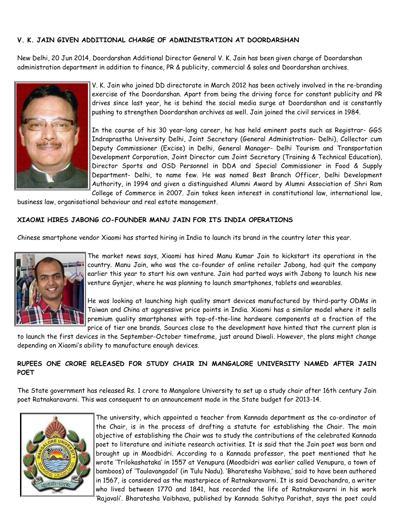#### **V. K. JAIN GIVEN ADDITIONAL CHARGE OF ADMINISTRATION AT DOORDARSHAN**

New Delhi, 20 Jun 2014, Doordarshan Additional Director General V. K. Jain has been given charge of Doordarshan administration department in addition to finance, PR & publicity, commercial & sales and Doordarshan archives.



V. K. Jain who joined DD directorate in March 2012 has been actively involved in the re-branding exercise of the Doordarshan. Apart from being the driving force for constant publicity and PR drives since last year, he is behind the social media surge at Doordarshan and is constantly pushing to strengthen Doordarshan archives as well. Jain joined the civil services in 1984.

In the course of his 30 year-long career, he has held eminent posts such as Registrar- GGS Indraprastha University Delhi, Joint Secretary (General Administration- Delhi), Collector cum Deputy Commissioner (Excise) in Delhi, General Manager- Delhi Tourism and Transportation Development Corporation, Joint Director cum Joint Secretary (Training & Technical Education), Director Sports and OSD Personnel in DDA and Special Commissioner in Food & Supply Department- Delhi, to name few. He was named Best Branch Officer, Delhi Development Authority, in 1994 and given a distinguished Alumni Award by Alumni Association of Shri Ram College of Commerce in 2007. Jain takes keen interest in constitutional law, international law,

business law, organisational behaviour and real estate management.

#### **XIAOMI HIRES JABONG CO-FOUNDER MANU JAIN FOR ITS INDIA OPERATIONS**

Chinese smartphone vendor Xiaomi has started hiring in India to launch its brand in the country later this year.



The market news says, Xiaomi has hired Manu Kumar Jain to kickstart its operations in the country. Manu Jain, who was the co-founder of online retailer Jabong, had quit the company earlier this year to start his own venture. Jain had parted ways with Jabong to launch his new venture Gynjer, where he was planning to launch smartphones, tablets and wearables.

He was looking at launching high quality smart devices manufactured by third-party ODMs in Taiwan and China at aggressive price points in India. Xiaomi has a similar model where it sells premium quality smartphones with top-of-the-line hardware components at a fraction of the price of tier one brands. Sources close to the development have hinted that the current plan is

to launch the first devices in the September-October timeframe, just around Diwali. However, the plans might change depending on Xiaomi's ability to manufacture enough devices.

### **RUPEES ONE CRORE RELEASED FOR STUDY CHAIR IN MANGALORE UNIVERSITY NAMED AFTER JAIN POET**

The State government has released Rs. 1 crore to Mangalore University to set up a study chair after 16th century Jain poet Ratnakaravarni. This was consequent to an announcement made in the State budget for 2013-14.



The university, which appointed a teacher from Kannada department as the co-ordinator of the Chair, is in the process of drafting a statute for establishing the Chair. The main objective of establishing the Chair was to study the contributions of the celebrated Kannada poet to literature and initiate research activities. It is said that the Jain poet was born and brought up in Moodbidri. According to a Kannada professor, the poet mentioned that he wrote 'Trilokashataka' in 1557 at Venupura (Moodbidri was earlier called Venupura, a town of bamboos) of 'Taulavangadol' (in Tulu Nadu). 'Bharatesha Vaibhava,' said to have been authored in 1567, is considered as the masterpiece of Ratnakaravarni. It is said Devachandra, a writer who lived between 1770 and 1841, has recorded the life of Ratnakaravarni in his work 'Rajavali'. Bharatesha Vaibhava, published by Kannada Sahitya Parishat, says the poet could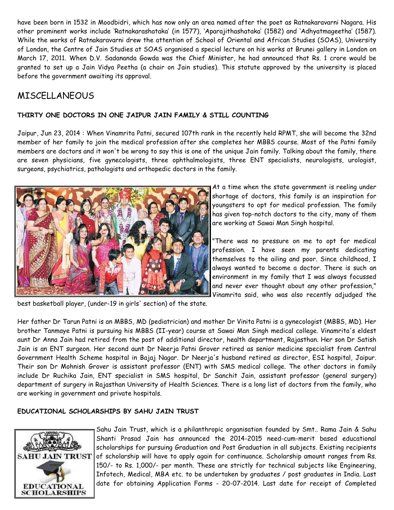have been born in 1532 in Moodbidri, which has now only an area named after the poet as Ratnakaravarni Nagara. His other prominent works include 'Ratnakarashataka' (in 1577), 'Aparajithashataka' (1582) and 'Adhyatmageetha' (1587). While the works of Ratnakaravarni drew the attention of School of Oriental and African Studies (SOAS), University of London, the Centre of Jain Studies at SOAS organised a special lecture on his works at Brunei gallery in London on March 17, 2011. When D.V. Sadananda Gowda was the Chief Minister, he had announced that Rs. 1 crore would be granted to set up a Jain Vidya Peetha (a chair on Jain studies). This statute approved by the university is placed before the government awaiting its approval.

# MISCELLANEOUS

### **THIRTY ONE DOCTORS IN ONE JAIPUR JAIN FAMILY & STILL COUNTING**

Jaipur, Jun 23, 2014 : When Vinamrita Patni, secured 107th rank in the recently held RPMT, she will become the 32nd member of her family to join the medical profession after she completes her MBBS course. Most of the Patni family members are doctors and it won't be wrong to say this is one of the unique Jain family. Talking about the family, there are seven physicians, five gynecologists, three ophthalmologists, three ENT specialists, neurologists, urologist, surgeons, psychiatrics, pathologists and orthopedic doctors in the family.



At a time when the state government is reeling under shortage of doctors, this family is an inspiration for youngsters to opt for medical profession. The family has given top-notch doctors to the city, many of them are working at Sawai Man Singh hospital.

"There was no pressure on me to opt for medical profession. I have seen my parents dedicating themselves to the ailing and poor. Since childhood, I always wanted to become a doctor. There is such an environment in my family that I was always focussed and never ever thought about any other profession," Vinamrita said, who was also recently adjudged the

best basketball player, (under-19 in girls' section) of the state.

Her father Dr Tarun Patni is an MBBS, MD (pediatrician) and mother Dr Vinita Patni is a gynecologist (MBBS, MD). Her brother Tanmaye Patni is pursuing his MBBS (II-year) course at Sawai Man Singh medical college. Vinamrita's eldest aunt Dr Anna Jain had retired from the post of additional director, health department, Rajasthan. Her son Dr Satish Jain is an ENT surgeon. Her second aunt Dr Neerja Patni Grover retired as senior medicine specialist from Central Government Health Scheme hospital in Bajaj Nagar. Dr Neerja's husband retired as director, ESI hospital, Jaipur. Their son Dr Mohnish Grover is assistant professor (ENT) with SMS medical college. The other doctors in family include Dr Ruchika Jain, ENT specialist in SMS hospital, Dr Sanchit Jain, assistant professor (general surgery) department of surgery in Rajasthan University of Health Sciences. There is a long list of doctors from the family, who are working in government and private hospitals.

### **EDUCATIONAL SCHOLARSHIPS BY SAHU JAIN TRUST**



Sahu Jain Trust, which is a philanthropic organisation founded by Smt.. Rama Jain & Sahu Shanti Prasad Jain has announced the 2014-2015 need-cum-merit based educational scholarships for pursuing Graduation and Post Graduation in all subjects. Existing recipients of scholarship will have to apply again for continuance. Scholarship amount ranges from Rs. 150/- to Rs. 1,000/- per month. These are strictly for technical subjects like Engineering, Infotech, Medical, MBA etc. to be undertaken by graduates / post graduates in India. Last date for obtaining Application Forms - 20-07-2014. Last date for receipt of Completed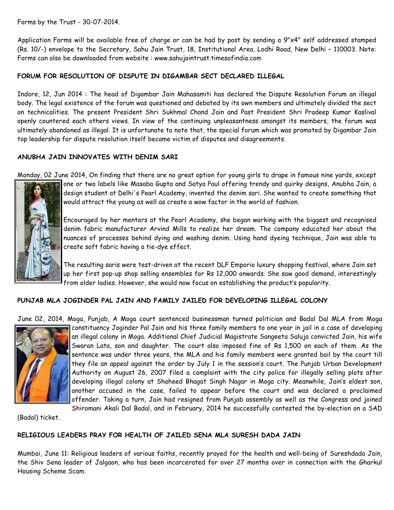Forms by the Trust - 30-07-2014.

Application Forms will be available free of charge or can be had by post by sending a 9"x4" self addressed stamped (Rs. 10/-) envelope to the Secretary, Sahu Jain Trust, 18, Institutional Area, Lodhi Road, New Delhi – 110003. Note: Forms can also be downloaded from website : www.sahujaintrust.timesofindia.com

### **FORUM FOR RESOLUTION OF DISPUTE IN DIGAMBAR SECT DECLARED ILLEGAL**

Indore, 12, Jun 2014 : The head of Digambar Jain Mahasamiti has declared the Dispute Resolution Forum an illegal body. The legal existence of the forum was questioned and debated by its own members and ultimately divided the sect on technicalities. The present President Shri Sukhmal Chand Jain and Past President Shri Pradeep Kumar Kaslival openly countered each others views. In view of the continuing unpleasantness amongst its members, the forum was ultimately abandoned as illegal. It is unfortunate to note that, the special forum which was promoted by Digambar Jain top leadership for dispute resolution itself became victim of disputes and disagreements.

### **ANUBHA JAIN INNOVATES WITH DENIM SARI**

Monday, 02 June 2014, On finding that there are no great option for young girls to drape in famous nine yards, except



one or two labels like Masaba Gupta and Satya Paul offering trendy and quirky designs, Anubha Jain, a design student at Delhi's Pearl Academy, invented the denim sari. She wanted to create something that would attract the young as well as create a wow factor in the world of fashion.

Encouraged by her mentors at the Pearl Academy, she began working with the biggest and recognised denim fabric manufacturer Arvind Mills to realize her dream. The company educated her about the nuances of processes behind dying and washing denim. Using hand dyeing technique, Jain was able to create soft fabric having a tie-dye effect.

The resulting saris were test-driven at the recent DLF Emporio luxury shopping festival, where Jain set up her first pop-up shop selling ensembles for Rs 12,000 onwards. She saw good demand, interestingly from older ladies. However, she would now focus on establishing the product's popularity.

#### **PUNJAB MLA JOGINDER PAL JAIN AND FAMILY JAILED FOR DEVELOPING ILLEGAL COLONY**

June 02, 2014, Moga, Punjab, A Moga court sentenced businessman turned politician and Badal Dal MLA from Moga



constituency Joginder Pal Jain and his three family members to one year in jail in a case of developing an illegal colony in Moga. Additional Chief Judicial Magistrate Sangeeta Saluja convicted Jain, his wife Swaran Lata, son and daughter. The court also imposed fine of Rs 1,500 on each of them. As the sentence was under three years, the MLA and his family members were granted bail by the court till they file an appeal against the order by July 1 in the session's court. The Punjab Urban Development Authority on August 26, 2007 filed a complaint with the city police for illegally selling plots after developing illegal colony at Shaheed Bhagat Singh Nagar in Moga city. Meanwhile, Jain's eldest son, another accused in the case, failed to appear before the court and was declared a proclaimed offender. Taking a turn, Jain had resigned from Punjab assembly as well as the Congress and joined Shiromani Akali Dal Badal, and in February, 2014 he successfully contested the by-election on a SAD

(Badal) ticket.

#### **RELIGIOUS LEADERS PRAY FOR HEALTH OF JAILED SENA MLA SURESH DADA JAIN**

Mumbai, June 11: Religious leaders of various faiths, recently prayed for the health and well-being of Sureshdada Jain, the Shiv Sena leader of Jalgaon, who has been incarcerated for over 27 months over in connection with the Gharkul Housing Scheme Scam.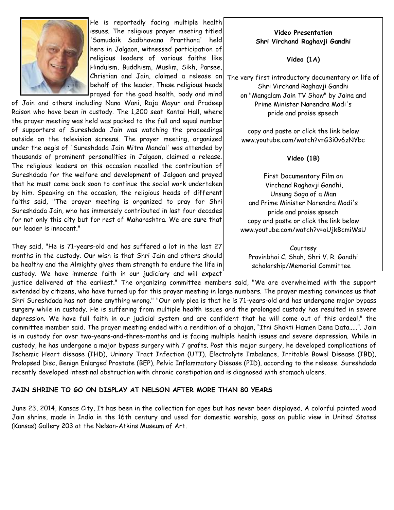

He is reportedly facing multiple health issues. The religious prayer meeting titled 'Samudaik Sadbhavana Prarthana' held here in Jalgaon, witnessed participation of religious leaders of various faiths like Hinduism, Buddhism, Muslim, Sikh, Parsee, Christian and Jain, claimed a release on behalf of the leader. These religious heads prayed for the good health, body and mind

of Jain and others including Nana Wani, Raja Mayur and Pradeep Raison who have been in custody. The 1,200 seat Kantai Hall, where the prayer meeting was held was packed to the full and equal number of supporters of Sureshdada Jain was watching the proceedings outside on the television screens. The prayer meeting, organized under the aegis of 'Sureshdada Jain Mitra Mandal' was attended by thousands of prominent personalities in Jalgaon, claimed a release. The religious leaders on this occasion recalled the contribution of Sureshdada for the welfare and development of Jalgaon and prayed that he must come back soon to continue the social work undertaken by him. Speaking on the occasion, the religious heads of different faiths said, "The prayer meeting is organized to pray for Shri Sureshdada Jain, who has immensely contributed in last four decades for not only this city but for rest of Maharashtra. We are sure that our leader is innocent."

They said, "He is 71-years-old and has suffered a lot in the last 27 months in the custody. Our wish is that Shri Jain and others should be healthy and the Almighty gives them strength to endure the life in custody. We have immense faith in our judiciary and will expect

justice delivered at the earliest." The organizing committee members said, "We are overwhelmed with the support extended by citizens, who have turned up for this prayer meeting in large numbers. The prayer meeting convinces us that Shri Sureshdada has not done anything wrong." "Our only plea is that he is 71-years-old and has undergone major bypass surgery while in custody. He is suffering from multiple health issues and the prolonged custody has resulted in severe depression. We have full faith in our judicial system and are confident that he will come out of this ordeal," the committee member said. The prayer meeting ended with a rendition of a bhajan, "Itni Shakti Hamen Dena Data.....". Jain is in custody for over two-years-and-three-months and is facing multiple health issues and severe depression. While in custody, he has undergone a major bypass surgery with 7 grafts. Post this major surgery, he developed complications of Ischemic Heart disease (IHD), Urinary Tract Infection (UTI), Electrolyte Imbalance, Irritable Bowel Disease (IBD), Prolapsed Disc, Benign Enlarged Prostate (BEP), Pelvic Inflammatory Disease (PID), according to the release. Sureshdada recently developed intestinal obstruction with chronic constipation and is diagnosed with stomach ulcers.

#### **JAIN SHRINE TO GO ON DISPLAY AT NELSON AFTER MORE THAN 80 YEARS**

June 23, 2014, Kansas City, It has been in the collection for ages but has never been displayed. A colorful painted wood Jain shrine, made in India in the 16th century and used for domestic worship, goes on public view in United States (Kansas) Gallery 203 at the Nelson-Atkins Museum of Art.

#### **Video Presentation Shri Virchand Raghavji Gandhi**

**Video (1A)**

The very first introductory documentary on life of Shri Virchand Raghavji Gandhi on "Mangalam Jain TV Show" by Jaina and Prime Minister Narendra Modi's pride and praise speech

copy and paste or click the link below www.youtube.com/watch?v=G3i0v6zNYbc

#### **Video (1B)**

First Documentary Film on Virchand Raghavji Gandhi, Unsung Saga of a Man and Prime Minister Narendra Modi's pride and praise speech copy and paste or click the link below www.youtube.com/watch?v=oUjkBcmiWsU

Courtesy Pravinbhai C. Shah, Shri V. R. Gandhi scholarship/Memorial Committee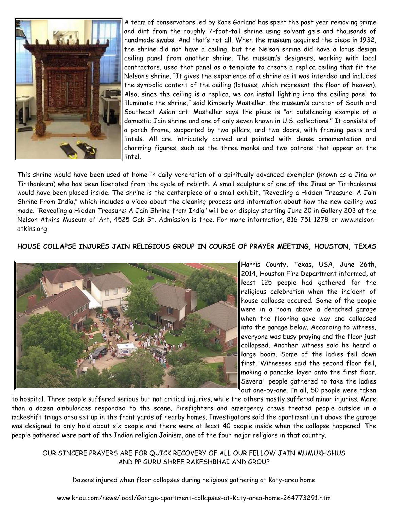

A team of conservators led by Kate Garland has spent the past year removing grime and dirt from the roughly 7-foot-tall shrine using solvent gels and thousands of handmade swabs. And that's not all. When the museum acquired the piece in 1932, the shrine did not have a ceiling, but the Nelson shrine did have a lotus design ceiling panel from another shrine. The museum's designers, working with local contractors, used that panel as a template to create a replica ceiling that fit the Nelson's shrine. "It gives the experience of a shrine as it was intended and includes the symbolic content of the ceiling (lotuses, which represent the floor of heaven). Also, since the ceiling is a replica, we can install lighting into the ceiling panel to illuminate the shrine," said Kimberly Masteller, the museum's curator of South and Southeast Asian art. Masteller says the piece is "an outstanding example of a domestic Jain shrine and one of only seven known in U.S. collections." It consists of a porch frame, supported by two pillars, and two doors, with framing posts and lintels. All are intricately carved and painted with dense ornamentation and charming figures, such as the three monks and two patrons that appear on the lintel.

This shrine would have been used at home in daily veneration of a spiritually advanced exemplar (known as a Jina or Tirthankara) who has been liberated from the cycle of rebirth. A small sculpture of one of the Jinas or Tirthankaras would have been placed inside. The shrine is the centerpiece of a small exhibit, "Revealing a Hidden Treasure: A Jain Shrine From India," which includes a video about the cleaning process and information about how the new ceiling was made. "Revealing a Hidden Treasure: A Jain Shrine from India" will be on display starting June 20 in Gallery 203 at the Nelson-Atkins Museum of Art, 4525 Oak St. Admission is free. For more information, 816-751-1278 or www.nelsonatkins.org

#### **HOUSE COLLAPSE INJURES JAIN RELIGIOUS GROUP IN COURSE OF PRAYER MEETING, HOUSTON, TEXAS**



Harris County, Texas, USA, June 26th, 2014, Houston Fire Department informed, at least 125 people had gathered for the religious celebration when the incident of house collapse occured. Some of the people were in a room above a detached garage when the flooring gave way and collapsed into the garage below. According to witness, everyone was busy praying and the floor just collapsed. Another witness said he heard a large boom. Some of the ladies fell down first. Witnesses said the second floor fell, making a pancake layer onto the first floor. Several people gathered to take the ladies out one-by-one. In all, 50 people were taken

to hospital. Three people suffered serious but not critical injuries, while the others mostly suffered minor injuries. More than a dozen ambulances responded to the scene. Firefighters and emergency crews treated people outside in a makeshift triage area set up in the front yards of nearby homes. Investigators said the apartment unit above the garage was designed to only hold about six people and there were at least 40 people inside when the collapse happened. The people gathered were part of the Indian religion Jainism, one of the four major religions in that country.

OUR SINCERE PRAYERS ARE FOR QUICK RECOVERY OF ALL OUR FELLOW JAIN MUMUKHSHUS AND PP GURU SHREE RAKESHBHAI AND GROUP

Dozens injured when floor collapses during religious gathering at Katy-area home

www.khou.com/news/local/Garage-apartment-collapses-at-Katy-area-home-264773291.htm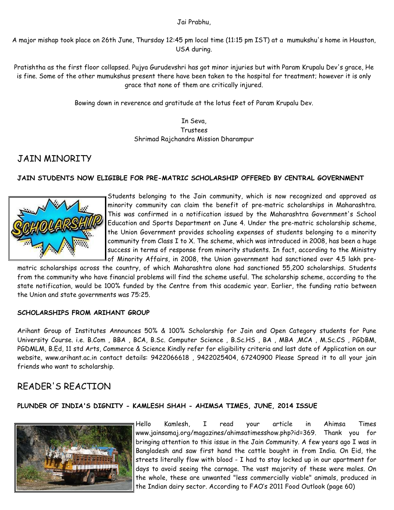#### Jai Prabhu,

A major mishap took place on 26th June, Thursday 12:45 pm local time (11:15 pm IST) at a mumukshu's home in Houston, USA during.

Pratishtha as the first floor collapsed. Pujya Gurudevshri has got minor injuries but with Param Krupalu Dev's grace, He is fine. Some of the other mumukshus present there have been taken to the hospital for treatment; however it is only grace that none of them are critically injured.

Bowing down in reverence and gratitude at the lotus feet of Param Krupalu Dev.

In Seva, Trustees Shrimad Rajchandra Mission Dharampur

# JAIN MINORITY

### **JAIN STUDENTS NOW ELIGIBLE FOR PRE-MATRIC SCHOLARSHIP OFFERED BY CENTRAL GOVERNMENT**



Students belonging to the Jain community, which is now recognized and approved as minority community can claim the benefit of pre-matric scholarships in Maharashtra. This was confirmed in a notification issued by the Maharashtra Government's School Education and Sports Department on June 4. Under the pre-matric scholarship scheme, the Union Government provides schooling expenses of students belonging to a minority community from Class I to X. The scheme, which was introduced in 2008, has been a huge success in terms of response from minority students. In fact, according to the Ministry of Minority Affairs, in 2008, the Union government had sanctioned over 4.5 lakh pre-

matric scholarships across the country, of which Maharashtra alone had sanctioned 55,200 scholarships. Students from the community who have financial problems will find the scheme useful. The scholarship scheme, according to the state notification, would be 100% funded by the Centre from this academic year. Earlier, the funding ratio between the Union and state governments was 75:25.

#### **SCHOLARSHIPS FROM ARIHANT GROUP**

Arihant Group of Institutes Announces 50% & 100% Scholarship for Jain and Open Category students for Pune University Course. i.e. B.Com , BBA , BCA, B.Sc. Computer Science , B.Sc.HS , BA , MBA ,MCA , M.Sc.CS , PGDBM, PGDMLM, B.Ed, 11 std Arts, Commerce & Science Kindly refer for eligibility criteria and last date of Application on our website, www.arihant.ac.in contact details: 9422066618 , 9422025404, 67240900 Please Spread it to all your jain friends who want to scholarship.

# READER'S REACTION

#### **PLUNDER OF INDIA'S DIGNITY - KAMLESH SHAH - AHIMSA TIMES, JUNE, 2014 ISSUE**



Hello Kamlesh, I read your article in Ahimsa Times www.jainsamaj.org/magazines/ahimsatimesshow.php?id=369. Thank you for bringing attention to this issue in the Jain Community. A few years ago I was in Bangladesh and saw first hand the cattle bought in from India. On Eid, the streets literally flow with blood - I had to stay locked up in our apartment for days to avoid seeing the carnage. The vast majority of these were males. On the whole, these are unwanted "less commercially viable" animals, produced in the Indian dairy sector. According to FAO's 2011 Food Outlook (page 60)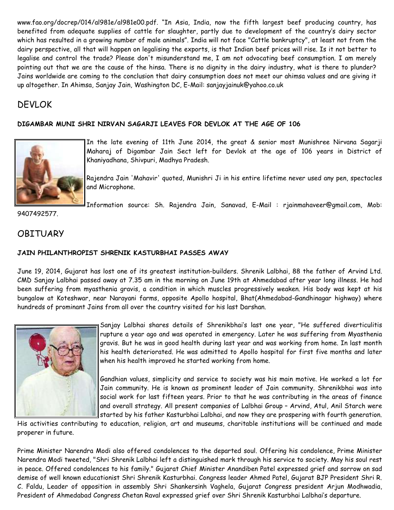www.fao.org/docrep/014/al981e/al981e00.pdf. "In Asia, India, now the fifth largest beef producing country, has benefited from adequate supplies of cattle for slaughter, partly due to development of the country's dairy sector which has resulted in a growing number of male animals". India will not face "Cattle bankruptcy", at least not from the dairy perspective, all that will happen on legalising the exports, is that Indian beef prices will rise. Is it not better to legalise and control the trade? Please don't misunderstand me, I am not advocating beef consumption. I am merely pointing out that we are the cause of the hinsa. There is no dignity in the dairy industry, what is there to plunder? Jains worldwide are coming to the conclusion that dairy consumption does not meet our ahimsa values and are giving it up altogether. In Ahimsa, Sanjay Jain, Washington DC, E-Mail: sanjayjainuk@yahoo.co.uk

# DEVLOK

### **DIGAMBAR MUNI SHRI NIRVAN SAGARJI LEAVES FOR DEVLOK AT THE AGE OF 106**



In the late evening of 11th June 2014, the great & senior most Munishree Nirvana Sagarji Maharaj of Digambar Jain Sect left for Devlok at the age of 106 years in District of Khaniyadhana, Shivpuri, Madhya Pradesh.

Rajendra Jain 'Mahavir' quoted, Munishri Ji in his entire lifetime never used any pen, spectacles and Microphone.

Information source: Sh. Rajendra Jain, Sanavad, E-Mail : rjainmahaveer@gmail.com, Mob:

9407492577.

# **OBITUARY**

### **JAIN PHILANTHROPIST SHRENIK KASTURBHAI PASSES AWAY**

June 19, 2014, Gujarat has lost one of its greatest institution-builders. Shrenik Lalbhai, 88 the father of Arvind Ltd. CMD Sanjay Lalbhai passed away at 7.35 am in the morning on June 19th at Ahmedabad after year long illness. He had been suffering from myasthenia gravis, a condition in which muscles progressively weaken. His body was kept at his bungalow at Koteshwar, near Narayani farms, opposite Apollo hospital, Bhat(Ahmedabad-Gandhinagar highway) where hundreds of prominant Jains from all over the country visited for his last Darshan.



Sanjay Lalbhai shares details of Shrenikbhai's last one year, "He suffered diverticulitis rupture a year ago and was operated in emergency. Later he was suffering from Myasthenia gravis. But he was in good health during last year and was working from home. In last month his health deteriorated. He was admitted to Apollo hospital for first five months and later when his health improved he started working from home.

Gandhian values, simplicity and service to society was his main motive. He worked a lot for Jain community. He is known as prominent leader of Jain community. Shrenikbhai was into social work for last fifteen years. Prior to that he was contributing in the areas of finance and overall strategy. All present companies of Lalbhai Group – Arvind, Atul, Anil Starch were started by his father Kasturbhai Lalbhai, and now they are prospering with fourth generation.

His activities contributing to education, religion, art and museums, charitable institutions will be continued and made properer in future.

Prime Minister Narendra Modi also offered condolences to the departed soul. Offering his condolence, Prime Minister Narendra Modi tweeted, "Shri Shrenik Lalbhai left a distinguished mark through his service to society. May his soul rest in peace. Offered condolences to his family." Gujarat Chief Minister Anandiben Patel expressed grief and sorrow on sad demise of well known educationist Shri Shrenik Kasturbhai. Congress leader Ahmed Patel, Gujarat BJP President Shri R. C. Faldu, Leader of opposition in assembly Shri Shankersinh Vaghela, Gujarat Congress president Arjun Modhwadia, President of Ahmedabad Congress Chetan Raval expressed grief over Shri Shrenik Kasturbhai Lalbhai's departure.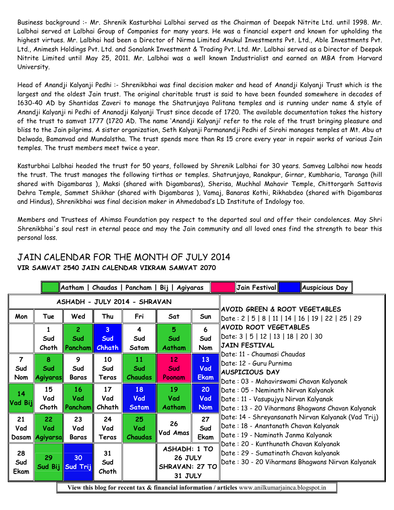Business background :- Mr. Shrenik Kasturbhai Lalbhai served as the Chairman of Deepak Nitrite Ltd. until 1998. Mr. Lalbhai served at Lalbhai Group of Companies for many years. He was a financial expert and known for upholding the highest virtues. Mr. Lalbhai had been a Director of Nirma Limited Anukul Investments Pvt. Ltd., Able Investments Pvt. Ltd., Animesh Holdings Pvt. Ltd. and Sonalank Investment & Trading Pvt. Ltd. Mr. Lalbhai served as a Director of Deepak Nitrite Limited until May 25, 2011. Mr. Lalbhai was a well known Industrialist and earned an MBA from Harvard University.

Head of Anandji Kalyanji Pedhi :- Shrenikbhai was final decision maker and head of Anandji Kalyanji Trust which is the largest and the oldest Jain trust. The original charitable trust is said to have been founded somewhere in decades of 1630-40 AD by Shantidas Zaveri to manage the Shatrunjaya Palitana temples and is running under name & style of Anandji Kalyanji ni Pedhi of Ananadji Kalyanji Trust since decade of 1720. The available documentation takes the history of the trust to samvat 1777 (1720 AD. The name 'Anandji Kalyanji' refer to the role of the trust bringing pleasure and bliss to the Jain pilgrims. A sister organization, Seth Kalyanji Parmanandji Pedhi of Sirohi manages temples at Mt. Abu at Delwada, Bamanvad and Mundalstha. The trust spends more than Rs 15 crore every year in repair works of various Jain temples. The trust members meet twice a year.

Kasturbhai Lalbhai headed the trust for 50 years, followed by Shrenik Lalbhai for 30 years. Samveg Lalbhai now heads the trust. The trust manages the following tirthas or temples. Shatrunjaya, Ranakpur, Girnar, Kumbharia, Taranga (hill shared with Digambaras ), Maksi (shared with Digambaras), Sherisa, Muchhal Mahavir Temple, Chittorgarh Sattavis Dehra Temple, Sammet Shikhar (shared with Digambaras ), Vamaj, Banaras Kothi, Rikhabdeo (shared with Digambaras and Hindus), Shrenikbhai was final decision maker in Ahmedabad's LD Institute of Indology too.

Members and Trustees of Ahimsa Foundation pay respect to the departed soul and offer their condolences. May Shri Shrenikbhai's soul rest in eternal peace and may the Jain community and all loved ones find the strength to bear this personal loss.

|                                                                                                  |                             |                                         |                                        |                             | Aatham   Chaudas   Pancham   Bij   Agiyaras                 |                          | Jain Festival <br><b>Auspicious Day</b>                                                                                             |
|--------------------------------------------------------------------------------------------------|-----------------------------|-----------------------------------------|----------------------------------------|-----------------------------|-------------------------------------------------------------|--------------------------|-------------------------------------------------------------------------------------------------------------------------------------|
| ASHADH - JULY 2014 - SHRAVAN                                                                     |                             |                                         |                                        |                             |                                                             |                          |                                                                                                                                     |
| Mon                                                                                              | Tue                         | Wed                                     | Thu                                    | Fri                         | Sat                                                         | Sun                      | AVOID GREEN & ROOT VEGETABLES<br>Date: 2   5   8   11   14   16   19   22   25   29                                                 |
|                                                                                                  | 1<br>Sud<br>Choth           | $\overline{2}$<br>Sud<br><b>Pancham</b> | $\overline{3}$<br>Sud<br><b>Chhath</b> | 4<br>Sud<br>Satam           | 5<br>Sud<br>Aatham                                          | 6<br>Sud<br>Nom          | AVOID ROOT VEGETABLES<br>  Date: 3   5   12   13   18   20   30<br><b>JAIN FESTIVAL</b>                                             |
| $\overline{7}$<br>Sud<br>Nom                                                                     | 8<br>Sud<br>Agiyaras        | 9<br>Sud<br><b>Baras</b>                | 10<br>Sud<br>Teras                     | 11<br>Sud<br>Chaudas        | 12<br>Sud<br>Poonam                                         | 13<br>Vad<br><b>Ekam</b> | Date: 11 - Chaumasi Chaudas<br>Date: 12 - Guru Purnima<br>AUSPICIOUS DAY<br>Date : 03 - Mahavirswami Chavan Kalyanak                |
| 14<br>Vad Bij                                                                                    | 15<br>Vad<br>Choth          | 16<br>Vad<br><b>Pancham</b>             | 17<br>Vad<br>Chhath                    | 18<br>Vad<br><b>Satam</b>   | 19<br>Vad<br>Aatham                                         | 20<br>Vad<br><b>Nom</b>  | Date : 05 - Neminath Nirvan Kalyanak<br>Date : 11 - Vasupujyu Nirvan Kalyanak<br>Date: 13 - 20 Viharmans Bhagwans Chavan Kalyanak   |
| 21<br>Vad                                                                                        | 22<br>Vad<br>Dasam Agiyarsa | 23<br>Vad<br><b>Baras</b>               | 24<br>Vad<br>Teras                     | 25<br>Vad<br><b>Chaudas</b> | 26<br>Vad Amas                                              | 27<br>Sud<br>Ekam        | Date: 14 - Shreyansanath Nirvan Kalyanak (Vad Trij)<br>Date: 18 - Anantanath Chavan Kalyanak<br>Date : 19 - Naminath Janma Kalyanak |
| 28<br>Sud<br>Ekam                                                                                | 29<br>Sud Bij               | 30<br>Sud Trij                          | 31<br>Sud<br>Choth                     |                             | <b>ASHADH: 1 TO</b><br>26 JULY<br>SHRAVAN: 27 TO<br>31 JULY |                          | Date: 20 - Kunthunath Chavan Kalyanak<br>Date: 29 - Sumatinath Chavan kalyanak<br>Date: 30 - 20 Viharmans Bhagwans Nirvan Kalyanak  |
| View this blog for recent tax & financial information / articles www.anilkumarjainca.blogspot.in |                             |                                         |                                        |                             |                                                             |                          |                                                                                                                                     |

# JAIN CALENDAR FOR THE MONTH OF JULY 2014 **VIR SAMVAT 2540 JAIN CALENDAR VIKRAM SAMVAT 2070**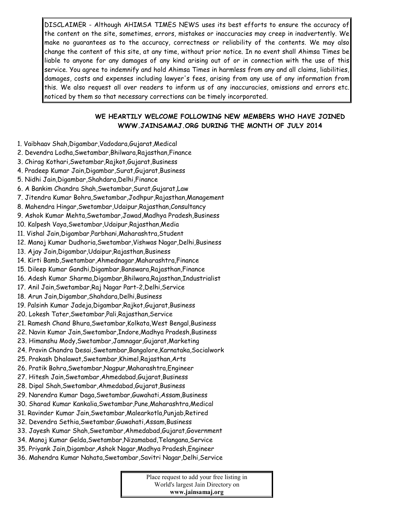DISCLAIMER - Although AHIMSA TIMES NEWS uses its best efforts to ensure the accuracy of the content on the site, sometimes, errors, mistakes or inaccuracies may creep in inadvertently. We make no guarantees as to the accuracy, correctness or reliability of the contents. We may also change the content of this site, at any time, without prior notice. In no event shall Ahimsa Times be liable to anyone for any damages of any kind arising out of or in connection with the use of this service. You agree to indemnify and hold Ahimsa Times in harmless from any and all claims, liabilities, damages, costs and expenses including lawyer's fees, arising from any use of any information from this. We also request all over readers to inform us of any inaccuracies, omissions and errors etc. noticed by them so that necessary corrections can be timely incorporated.

#### **WE HEARTILY WELCOME FOLLOWING NEW MEMBERS WHO HAVE JOINED WWW.JAINSAMAJ.ORG DURING THE MONTH OF JULY 2014**

- 1. Vaibhaav Shah,Digambar,Vadodara,Gujarat,Medical
- 2. Devendra Lodha,Swetambar,Bhilwara,Rajasthan,Finance
- 3. Chirag Kothari,Swetambar,Rajkot,Gujarat,Business
- 4. Pradeep Kumar Jain,Digambar,Surat,Gujarat,Business
- 5. Nidhi Jain,Digambar,Shahdara,Delhi,Finance
- 6. A Bankim Chandra Shah,Swetambar,Surat,Gujarat,Law
- 7. Jitendra Kumar Bohra,Swetambar,Jodhpur,Rajasthan,Management
- 8. Mahendra Hingar,Swetambar,Udaipur,Rajasthan,Consultancy
- 9. Ashok Kumar Mehta,Swetambar,Jawad,Madhya Pradesh,Business
- 10. Kalpesh Vaya,Swetambar,Udaipur,Rajasthan,Media
- 11. Vishal Jain,Digambar,Parbhani,Maharashtra,Student
- 12. Manoj Kumar Dudhoria,Swetambar,Vishwas Nagar,Delhi,Business
- 13. Ajay Jain,Digambar,Udaipur,Rajasthan,Business
- 14. Kirti Bamb,Swetambar,Ahmednagar,Maharashtra,Finance
- 15. Dileep Kumar Gandhi,Digambar,Banswara,Rajasthan,Finance
- 16. Adesh Kumar Sharma,Digambar,Bhilwara,Rajasthan,Industrialist
- 17. Anil Jain,Swetambar,Raj Nagar Part-2,Delhi,Service
- 18. Arun Jain,Digambar,Shahdara,Delhi,Business
- 19. Palsinh Kumar Jadeja,Digambar,Rajkot,Gujarat,Business
- 20. Lokesh Tater,Swetambar,Pali,Rajasthan,Service
- 21. Ramesh Chand Bhura,Swetambar,Kolkata,West Bengal,Business
- 22. Navin Kumar Jain,Swetambar,Indore,Madhya Pradesh,Business
- 23. Himanshu Mody,Swetambar,Jamnagar,Gujarat,Marketing
- 24. Pravin Chandra Desai,Swetambar,Bangalore,Karnataka,Socialwork
- 25. Prakash Dhalawat,Swetambar,Khimel,Rajasthan,Arts
- 26. Pratik Bohra,Swetambar,Nagpur,Maharashtra,Engineer
- 27. Hitesh Jain,Swetambar,Ahmedabad,Gujarat,Business
- 28. Dipal Shah,Swetambar,Ahmedabad,Gujarat,Business
- 29. Narendra Kumar Daga,Swetambar,Guwahati,Assam,Business
- 30. Sharad Kumar Kankalia,Swetambar,Pune,Maharashtra,Medical
- 31. Ravinder Kumar Jain,Swetambar,Malearkotla,Punjab,Retired
- 32. Devendra Sethia,Swetambar,Guwahati,Assam,Business
- 33. Jayesh Kumar Shah,Swetambar,Ahmedabad,Gujarat,Government
- 34. Manoj Kumar Gelda,Swetambar,Nizamabad,Telangana,Service
- 35. Priyank Jain,Digambar,Ashok Nagar,Madhya Pradesh,Engineer
- 36. Mahendra Kumar Nahata,Swetambar,Savitri Nagar,Delhi,Service

Place request to add your free listing in World's largest Jain Directory on **www.jainsamaj.org**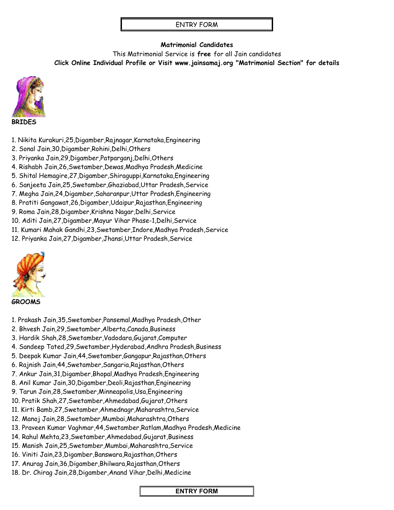#### ENTRY FORM

### **Matrimonial Candidates**

This Matrimonial Service is **free** for all Jain candidates **Click Online Individual Profile or Visit www.jainsamaj.org "Matrimonial Section" for details**



#### **BRIDES**

- 1. Nikita Kurakuri,25,Digamber,Rajnagar,Karnataka,Engineering
- 2. Sonal Jain,30,Digamber,Rohini,Delhi,Others
- 3. Priyanka Jain,29,Digamber,Patparganj,Delhi,Others
- 4. Rishabh Jain,26,Swetamber,Dewas,Madhya Pradesh,Medicine
- 5. Shital Hemagire,27,Digamber,Shiraguppi,Karnataka,Engineering
- 6. Sanjeeta Jain,25,Swetamber,Ghaziabad,Uttar Pradesh,Service
- 7. Megha Jain,24,Digamber,Saharanpur,Uttar Pradesh,Engineering
- 8. Pratiti Gangawat,26,Digamber,Udaipur,Rajasthan,Engineering
- 9. Roma Jain,28,Digamber,Krishna Nagar,Delhi,Service
- 10. Aditi Jain,27,Digamber,Mayur Vihar Phase-1,Delhi,Service
- 11. Kumari Mahak Gandhi,23,Swetamber,Indore,Madhya Pradesh,Service
- 12. Priyanka Jain,27,Digamber,Jhansi,Uttar Pradesh,Service



#### **GROOMS**

- 1. Prakash Jain,35,Swetamber,Pansemal,Madhya Pradesh,Other
- 2. Bhvesh Jain,29,Swetamber,Alberta,Canada,Business
- 3. Hardik Shah,28,Swetamber,Vadodara,Gujarat,Computer
- 4. Sandeep Tated,29,Swetamber,Hyderabad,Andhra Pradesh,Business
- 5. Deepak Kumar Jain,44,Swetamber,Gangapur,Rajasthan,Others
- 6. Rajnish Jain,44,Swetamber,Sangaria,Rajasthan,Others
- 7. Ankur Jain,31,Digamber,Bhopal,Madhya Pradesh,Engineering
- 8. Anil Kumar Jain,30,Digamber,Deoli,Rajasthan,Engineering
- 9. Tarun Jain,28,Swetamber,Minneapolis,Usa,Engineering
- 10. Pratik Shah,27,Swetamber,Ahmedabad,Gujarat,Others
- 11. Kirti Bamb,27,Swetamber,Ahmednagr,Maharashtra,Service
- 12. Manoj Jain,28,Swetamber,Mumbai,Maharashtra,Others
- 13. Praveen Kumar Vaghmar,44,Swetamber,Ratlam,Madhya Pradesh,Medicine
- 14. Rahul Mehta,23,Swetamber,Ahmedabad,Gujarat,Business
- 15. Manish Jain,25,Swetamber,Mumbai,Maharashtra,Service
- 16. Viniti Jain,23,Digamber,Banswara,Rajasthan,Others
- 17. Anurag Jain,36,Digamber,Bhilwara,Rajasthan,Others
- 18. Dr. Chirag Jain,28,Digamber,Anand Vihar,Delhi,Medicine

#### **ENTRY FORM**